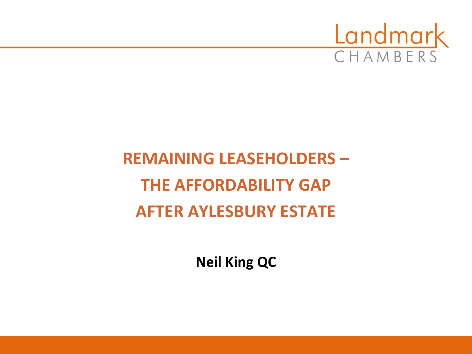

# **REMAINING LEASEHOLDERS – THE AFFORDABILITY GAP AFTER AYLESBURY ESTATE**

**Neil King QC**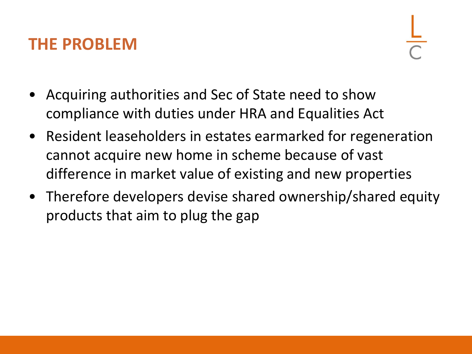#### **THE PROBLEM**

- Acquiring authorities and Sec of State need to show compliance with duties under HRA and Equalities Act
- Resident leaseholders in estates earmarked for regeneration cannot acquire new home in scheme because of vast difference in market value of existing and new properties
- Therefore developers devise shared ownership/shared equity products that aim to plug the gap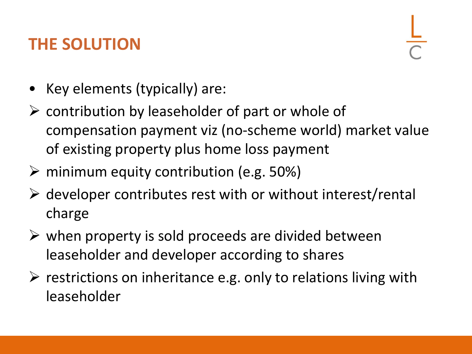# **THE SOLUTION**

- Key elements (typically) are:
- ➢ contribution by leaseholder of part or whole of compensation payment viz (no-scheme world) market value of existing property plus home loss payment
- ➢ minimum equity contribution (e.g. 50%)
- $\triangleright$  developer contributes rest with or without interest/rental charge
- $\triangleright$  when property is sold proceeds are divided between leaseholder and developer according to shares
- $\triangleright$  restrictions on inheritance e.g. only to relations living with leaseholder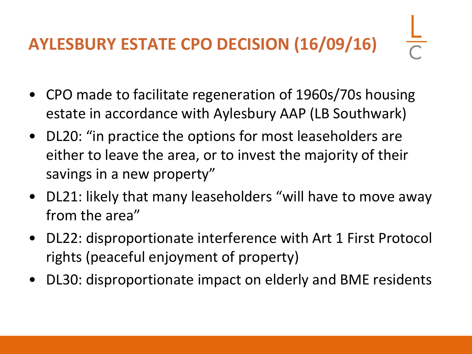# **AYLESBURY ESTATE CPO DECISION (16/09/16)**

- CPO made to facilitate regeneration of 1960s/70s housing estate in accordance with Aylesbury AAP (LB Southwark)
- DL20: "in practice the options for most leaseholders are either to leave the area, or to invest the majority of their savings in a new property"
- DL21: likely that many leaseholders "will have to move away from the area"
- DL22: disproportionate interference with Art 1 First Protocol rights (peaceful enjoyment of property)
- DL30: disproportionate impact on elderly and BME residents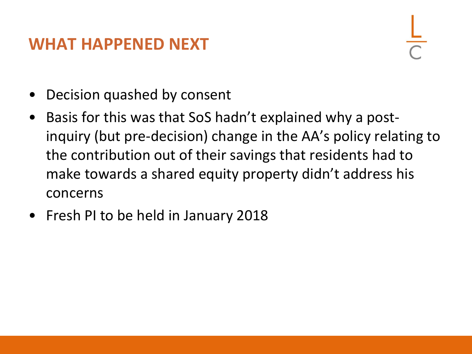#### **WHAT HAPPENED NEXT**

- Decision quashed by consent
- Basis for this was that SoS hadn't explained why a postinquiry (but pre-decision) change in the AA's policy relating to the contribution out of their savings that residents had to make towards a shared equity property didn't address his concerns
- Fresh PI to be held in January 2018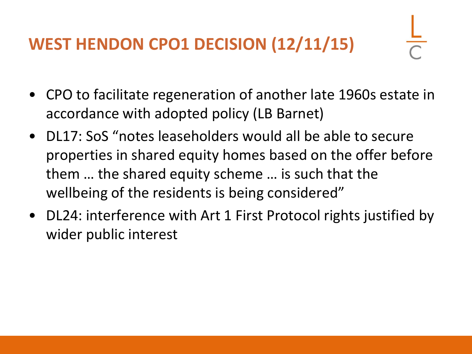# **WEST HENDON CPO1 DECISION (12/11/15)**

- CPO to facilitate regeneration of another late 1960s estate in accordance with adopted policy (LB Barnet)
- DL17: SoS "notes leaseholders would all be able to secure properties in shared equity homes based on the offer before them … the shared equity scheme … is such that the wellbeing of the residents is being considered"
- DL24: interference with Art 1 First Protocol rights justified by wider public interest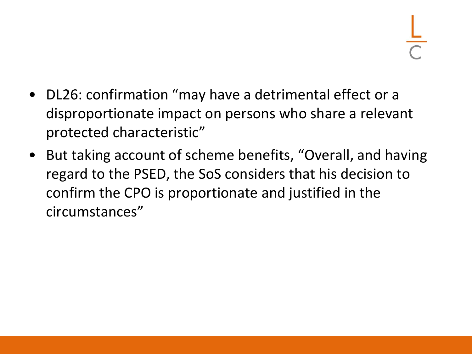- DL26: confirmation "may have a detrimental effect or a disproportionate impact on persons who share a relevant protected characteristic"
- But taking account of scheme benefits, "Overall, and having regard to the PSED, the SoS considers that his decision to confirm the CPO is proportionate and justified in the circumstances"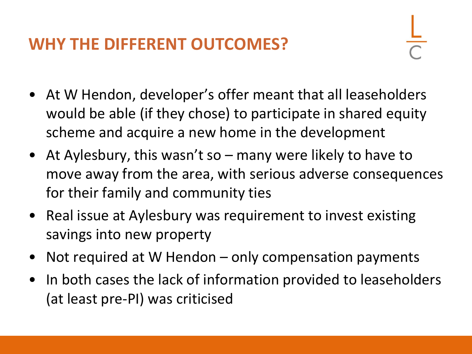### **WHY THE DIFFERENT OUTCOMES?**

- At W Hendon, developer's offer meant that all leaseholders would be able (if they chose) to participate in shared equity scheme and acquire a new home in the development
- At Aylesbury, this wasn't so many were likely to have to move away from the area, with serious adverse consequences for their family and community ties
- Real issue at Aylesbury was requirement to invest existing savings into new property
- Not required at W Hendon only compensation payments
- In both cases the lack of information provided to leaseholders (at least pre-PI) was criticised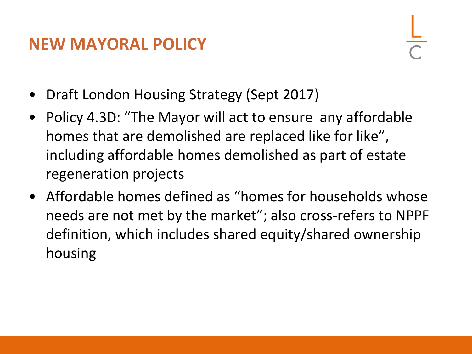#### **NEW MAYORAL POLICY**

- Draft London Housing Strategy (Sept 2017)
- Policy 4.3D: "The Mayor will act to ensure any affordable homes that are demolished are replaced like for like", including affordable homes demolished as part of estate regeneration projects
- Affordable homes defined as "homes for households whose needs are not met by the market"; also cross-refers to NPPF definition, which includes shared equity/shared ownership housing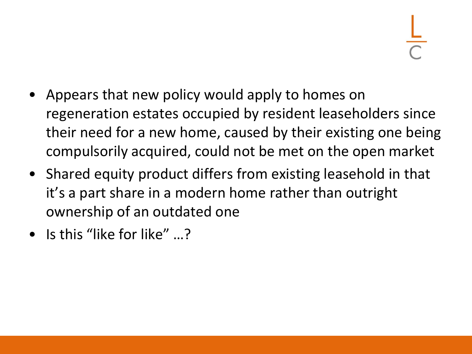- Appears that new policy would apply to homes on regeneration estates occupied by resident leaseholders since their need for a new home, caused by their existing one being compulsorily acquired, could not be met on the open market
- Shared equity product differs from existing leasehold in that it's a part share in a modern home rather than outright ownership of an outdated one
- Is this "like for like" ...?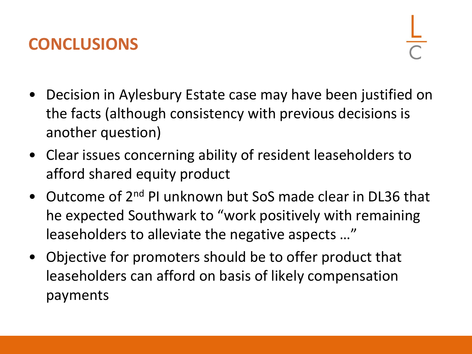## **CONCLUSIONS**

- Decision in Aylesbury Estate case may have been justified on the facts (although consistency with previous decisions is another question)
- Clear issues concerning ability of resident leaseholders to afford shared equity product
- Outcome of 2<sup>nd</sup> PI unknown but SoS made clear in DL36 that he expected Southwark to "work positively with remaining leaseholders to alleviate the negative aspects …"
- Objective for promoters should be to offer product that leaseholders can afford on basis of likely compensation payments